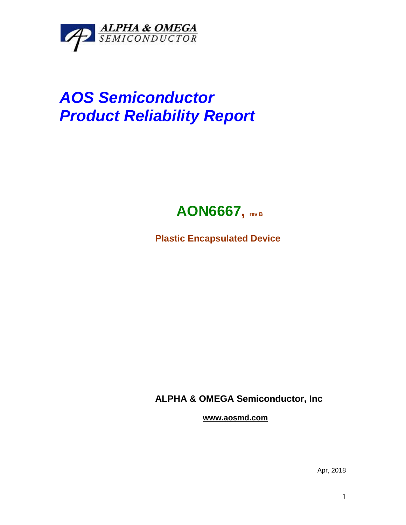

## *AOS Semiconductor Product Reliability Report*



**Plastic Encapsulated Device**

**ALPHA & OMEGA Semiconductor, Inc**

**www.aosmd.com**

Apr, 2018